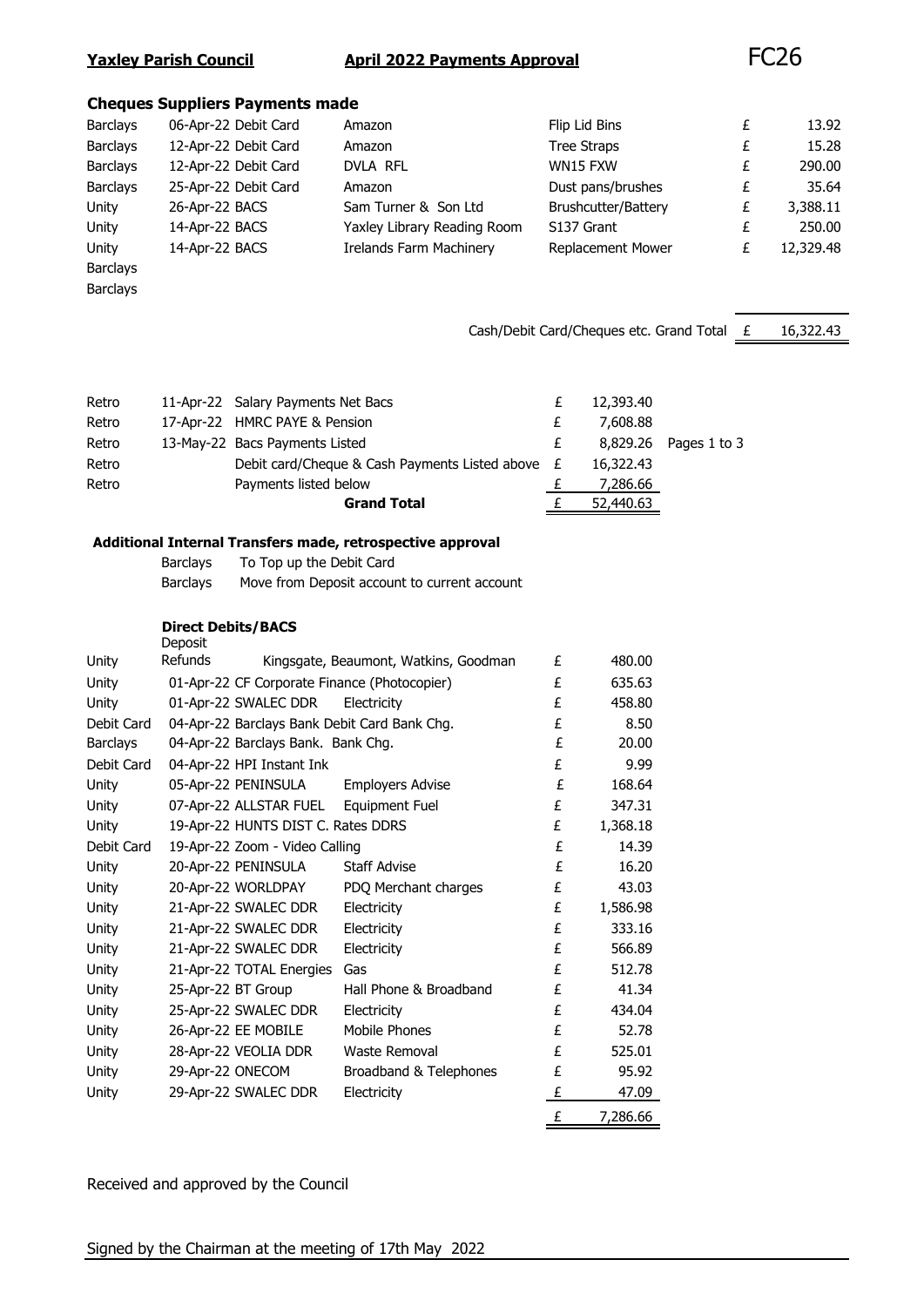#### **Yaxley Parish Council April 2022 Payments Approval** FC26

#### **Cheques Suppliers Payments made**

| <b>Barclays</b> | 06-Apr-22 Debit Card | Amazon                         | Flip Lid Bins              |   | 13.92     |
|-----------------|----------------------|--------------------------------|----------------------------|---|-----------|
| <b>Barclays</b> | 12-Apr-22 Debit Card | Amazon                         | <b>Tree Straps</b>         | £ | 15.28     |
| <b>Barclays</b> | 12-Apr-22 Debit Card | <b>DVLA RFL</b>                | WN15 FXW                   | £ | 290.00    |
| <b>Barclays</b> | 25-Apr-22 Debit Card | Amazon                         | Dust pans/brushes          | £ | 35.64     |
| Unity           | 26-Apr-22 BACS       | Sam Turner & Son Ltd           | <b>Brushcutter/Battery</b> | £ | 3,388.11  |
| Unity           | 14-Apr-22 BACS       | Yaxley Library Reading Room    | S137 Grant                 |   | 250.00    |
| Unity           | 14-Apr-22 BACS       | <b>Irelands Farm Machinery</b> | <b>Replacement Mower</b>   |   | 12,329.48 |
| <b>Barclays</b> |                      |                                |                            |   |           |

Barclays

Cash/Debit Card/Cheques etc. Grand Total  $E = 16,322.43$ 

|       | <b>Grand Total</b>                                 | 52,440.63 |                       |
|-------|----------------------------------------------------|-----------|-----------------------|
| Retro | Payments listed below                              | 7,286.66  |                       |
| Retro | Debit card/Cheque & Cash Payments Listed above $E$ | 16,322.43 |                       |
| Retro | 13-May-22 Bacs Payments Listed                     |           | 8,829.26 Pages 1 to 3 |
| Retro | 17-Apr-22 HMRC PAYE & Pension                      | 7,608.88  |                       |
| Retro | 11-Apr-22 Salary Payments Net Bacs                 | 12,393.40 |                       |

#### **Additional Internal Transfers made, retrospective approval**

| Barclays | To Top up the Debit Card                     |
|----------|----------------------------------------------|
| Barclays | Move from Deposit account to current account |

**Direct Debits/BACS Deposit** 

|                 |                           |                                    |                                              | £ | 7,286.66 |
|-----------------|---------------------------|------------------------------------|----------------------------------------------|---|----------|
| Unity           |                           | 29-Apr-22 SWALEC DDR               | Electricity                                  | £ | 47.09    |
| Unity           | 29-Apr-22 ONECOM          |                                    | Broadband & Telephones                       | £ | 95.92    |
| Unity           |                           | 28-Apr-22 VEOLIA DDR               | Waste Removal                                | £ | 525.01   |
| Unity           |                           | 26-Apr-22 EE MOBILE                | Mobile Phones                                | £ | 52.78    |
| Unity           |                           | 25-Apr-22 SWALEC DDR               | Electricity                                  | £ | 434.04   |
| Unity           | 25-Apr-22 BT Group        |                                    | Hall Phone & Broadband                       | £ | 41.34    |
| Unity           |                           | 21-Apr-22 TOTAL Energies           | Gas                                          | £ | 512.78   |
| Unity           |                           | 21-Apr-22 SWALEC DDR               | Electricity                                  | £ | 566.89   |
| Unity           |                           | 21-Apr-22 SWALEC DDR               | Electricity                                  | £ | 333.16   |
| Unity           |                           | 21-Apr-22 SWALEC DDR               | Electricity                                  | £ | 1,586.98 |
| Unity           |                           | 20-Apr-22 WORLDPAY                 | PDQ Merchant charges                         | £ | 43.03    |
| Unity           |                           | 20-Apr-22 PENINSULA                | <b>Staff Advise</b>                          | £ | 16.20    |
| Debit Card      |                           | 19-Apr-22 Zoom - Video Calling     |                                              | £ | 14.39    |
| Unity           |                           | 19-Apr-22 HUNTS DIST C. Rates DDRS |                                              | £ | 1,368.18 |
| Unity           |                           | 07-Apr-22 ALLSTAR FUEL             | Equipment Fuel                               | £ | 347.31   |
| Unity           |                           | 05-Apr-22 PENINSULA                | <b>Employers Advise</b>                      | £ | 168.64   |
| Debit Card      |                           | 04-Apr-22 HPI Instant Ink          |                                              | £ | 9.99     |
| <b>Barclays</b> |                           | 04-Apr-22 Barclays Bank. Bank Chg. |                                              | £ | 20.00    |
| Debit Card      |                           |                                    | 04-Apr-22 Barclays Bank Debit Card Bank Chg. | £ | 8.50     |
| Unity           |                           | 01-Apr-22 SWALEC DDR               | Electricity                                  | £ | 458.80   |
| Unity           |                           |                                    | 01-Apr-22 CF Corporate Finance (Photocopier) | £ | 635.63   |
| Unity           | DEPOSIL<br><b>Refunds</b> |                                    | Kingsgate, Beaumont, Watkins, Goodman        | £ | 480.00   |

Received and approved by the Council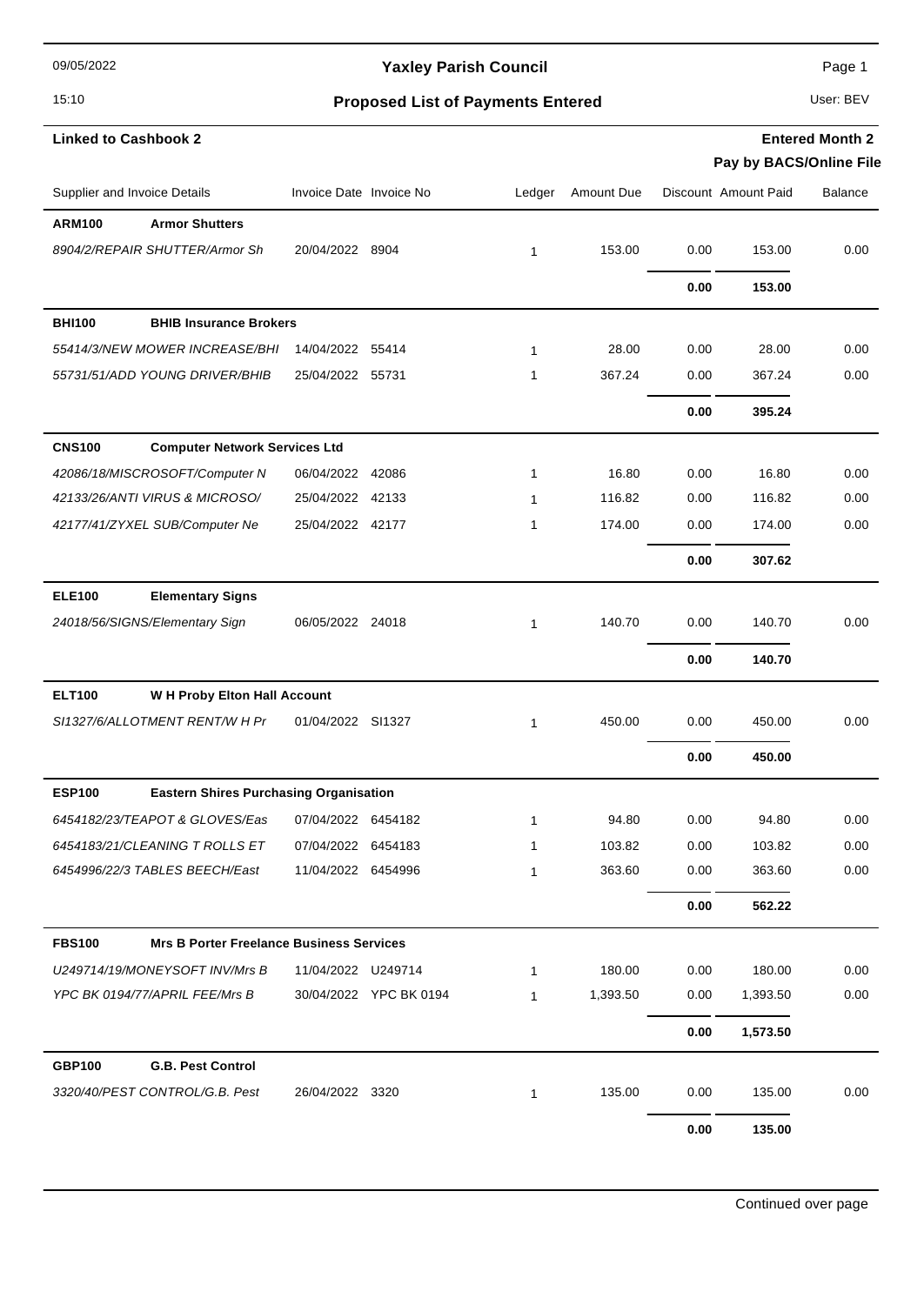09/05/2022

### Yaxley Parish Council **Page 1** Page 1

## 15:10 **Proposed List of Payments Entered** User: BEV

**Entered Month 2**

| <b>Linked to Cashbook 2</b>                                      |                         |                        |              |            |      |                         | <b>Entered Month 2</b> |
|------------------------------------------------------------------|-------------------------|------------------------|--------------|------------|------|-------------------------|------------------------|
|                                                                  |                         |                        |              |            |      | Pay by BACS/Online File |                        |
| Supplier and Invoice Details                                     | Invoice Date Invoice No |                        | Ledger       | Amount Due |      | Discount Amount Paid    | <b>Balance</b>         |
| <b>Armor Shutters</b><br><b>ARM100</b>                           |                         |                        |              |            |      |                         |                        |
| 8904/2/REPAIR SHUTTER/Armor Sh                                   | 20/04/2022 8904         |                        | $\mathbf{1}$ | 153.00     | 0.00 | 153.00                  | 0.00                   |
|                                                                  |                         |                        |              |            | 0.00 | 153.00                  |                        |
| <b>BHI100</b><br><b>BHIB Insurance Brokers</b>                   |                         |                        |              |            |      |                         |                        |
| 55414/3/NEW MOWER INCREASE/BHI                                   | 14/04/2022 55414        |                        | $\mathbf{1}$ | 28.00      | 0.00 | 28.00                   | 0.00                   |
| 55731/51/ADD YOUNG DRIVER/BHIB                                   | 25/04/2022 55731        |                        | 1            | 367.24     | 0.00 | 367.24                  | 0.00                   |
|                                                                  |                         |                        |              |            | 0.00 | 395.24                  |                        |
| <b>CNS100</b><br><b>Computer Network Services Ltd</b>            |                         |                        |              |            |      |                         |                        |
| 42086/18/MISCROSOFT/Computer N                                   | 06/04/2022 42086        |                        | $\mathbf{1}$ | 16.80      | 0.00 | 16.80                   | 0.00                   |
| 42133/26/ANTI VIRUS & MICROSO/                                   | 25/04/2022 42133        |                        | $\mathbf{1}$ | 116.82     | 0.00 | 116.82                  | 0.00                   |
| 42177/41/ZYXEL SUB/Computer Ne                                   | 25/04/2022 42177        |                        | 1            | 174.00     | 0.00 | 174.00                  | 0.00                   |
|                                                                  |                         |                        |              |            | 0.00 | 307.62                  |                        |
| <b>ELE100</b><br><b>Elementary Signs</b>                         |                         |                        |              |            |      |                         |                        |
| 24018/56/SIGNS/Elementary Sign                                   | 06/05/2022 24018        |                        | $\mathbf{1}$ | 140.70     | 0.00 | 140.70                  | 0.00                   |
|                                                                  |                         |                        |              |            | 0.00 | 140.70                  |                        |
| <b>ELT100</b><br>W H Proby Elton Hall Account                    |                         |                        |              |            |      |                         |                        |
| SI1327/6/ALLOTMENT RENT/W H Pr                                   | 01/04/2022 SI1327       |                        | 1            | 450.00     | 0.00 | 450.00                  | 0.00                   |
|                                                                  |                         |                        |              |            | 0.00 | 450.00                  |                        |
| <b>ESP100</b><br><b>Eastern Shires Purchasing Organisation</b>   |                         |                        |              |            |      |                         |                        |
| 6454182/23/TEAPOT & GLOVES/Eas                                   | 07/04/2022 6454182      |                        | 1            | 94.80      | 0.00 | 94.80                   | 0.00                   |
| 6454183/21/CLEANING T ROLLS ET                                   | 07/04/2022 6454183      |                        | $\mathbf{1}$ | 103.82     | 0.00 | 103.82                  | 0.00                   |
| 6454996/22/3 TABLES BEECH/East                                   | 11/04/2022 6454996      |                        | 1            | 363.60     | 0.00 | 363.60                  | 0.00                   |
|                                                                  |                         |                        |              |            | 0.00 | 562.22                  |                        |
| <b>FBS100</b><br><b>Mrs B Porter Freelance Business Services</b> |                         |                        |              |            |      |                         |                        |
| U249714/19/MONEYSOFT INV/Mrs B                                   | 11/04/2022 U249714      |                        | 1            | 180.00     | 0.00 | 180.00                  | 0.00                   |
| YPC BK 0194/77/APRIL FEE/Mrs B                                   |                         | 30/04/2022 YPC BK 0194 | $\mathbf{1}$ | 1,393.50   | 0.00 | 1,393.50                | 0.00                   |
|                                                                  |                         |                        |              |            | 0.00 | 1,573.50                |                        |
| <b>GBP100</b><br><b>G.B. Pest Control</b>                        |                         |                        |              |            |      |                         |                        |
| 3320/40/PEST CONTROL/G.B. Pest                                   | 26/04/2022 3320         |                        | 1            | 135.00     | 0.00 | 135.00                  | 0.00                   |
|                                                                  |                         |                        |              |            | 0.00 | 135.00                  |                        |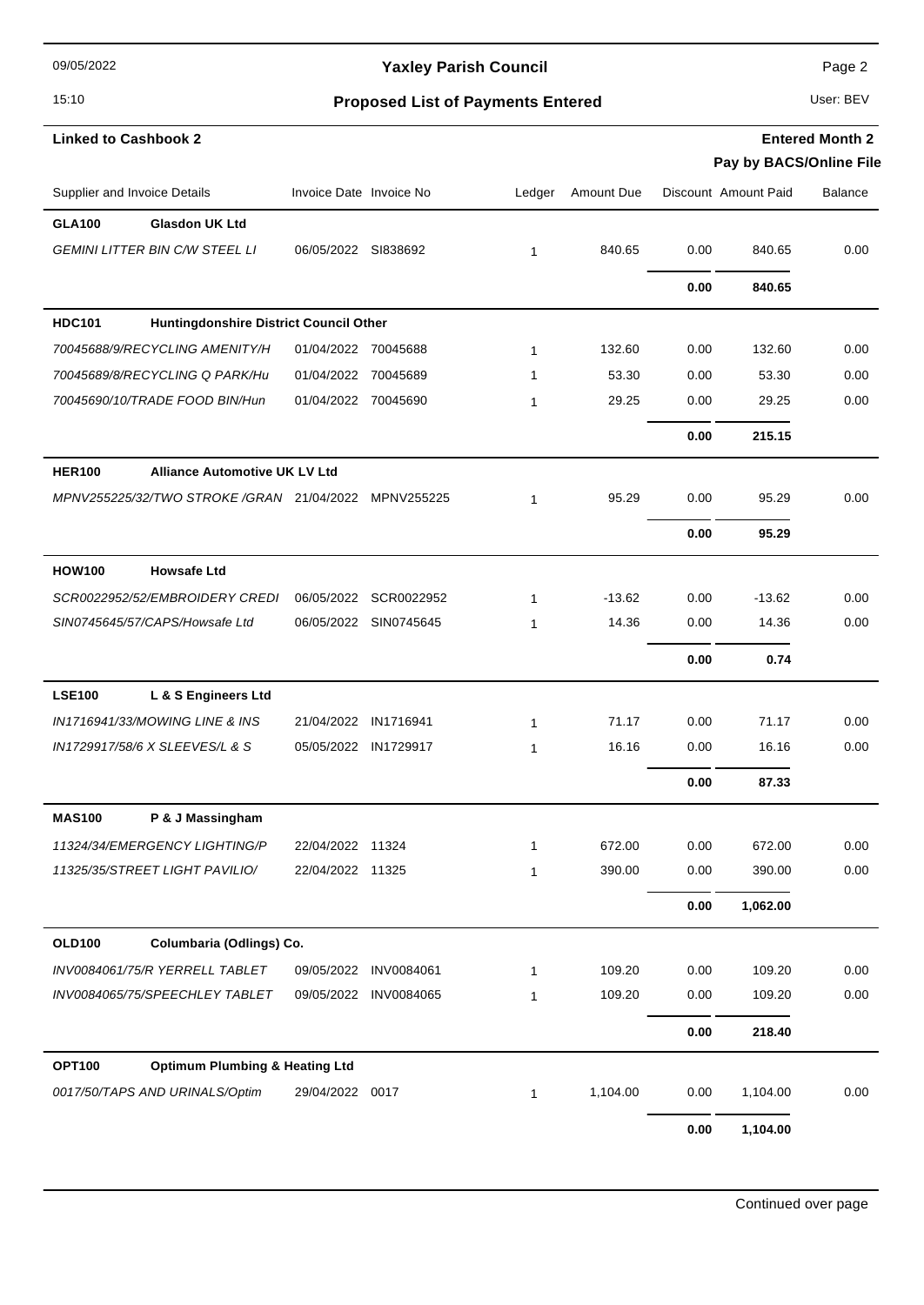09/05/2022

### Yaxley Parish Council **Page 2** Page 2

## 15:10 **Proposed List of Payments Entered** User: BEV

| <b>Linked to Cashbook 2</b>                                |                         |                       |              |            |      |                                                 | <b>Entered Month 2</b> |
|------------------------------------------------------------|-------------------------|-----------------------|--------------|------------|------|-------------------------------------------------|------------------------|
| Supplier and Invoice Details                               | Invoice Date Invoice No |                       | Ledger       | Amount Due |      | Pay by BACS/Online File<br>Discount Amount Paid | <b>Balance</b>         |
| <b>GLA100</b><br><b>Glasdon UK Ltd</b>                     |                         |                       |              |            |      |                                                 |                        |
| <b>GEMINI LITTER BIN C/W STEEL LI</b>                      | 06/05/2022 SI838692     |                       | 1            | 840.65     | 0.00 | 840.65                                          | 0.00                   |
|                                                            |                         |                       |              |            |      |                                                 |                        |
|                                                            |                         |                       |              |            | 0.00 | 840.65                                          |                        |
| <b>HDC101</b><br>Huntingdonshire District Council Other    |                         |                       |              |            |      |                                                 |                        |
| 70045688/9/RECYCLING AMENITY/H                             | 01/04/2022 70045688     |                       | $\mathbf{1}$ | 132.60     | 0.00 | 132.60                                          | 0.00                   |
| 70045689/8/RECYCLING Q PARK/Hu                             | 01/04/2022              | 70045689              | 1            | 53.30      | 0.00 | 53.30                                           | 0.00                   |
| 70045690/10/TRADE FOOD BIN/Hun                             | 01/04/2022 70045690     |                       | 1            | 29.25      | 0.00 | 29.25                                           | 0.00                   |
|                                                            |                         |                       |              |            | 0.00 | 215.15                                          |                        |
| <b>HER100</b><br><b>Alliance Automotive UK LV Ltd</b>      |                         |                       |              |            |      |                                                 |                        |
| MPNV255225/32/TWO STROKE /GRAN 21/04/2022 MPNV255225       |                         |                       | $\mathbf{1}$ | 95.29      | 0.00 | 95.29                                           | 0.00                   |
|                                                            |                         |                       |              |            | 0.00 | 95.29                                           |                        |
| <b>HOW100</b><br><b>Howsafe Ltd</b>                        |                         |                       |              |            |      |                                                 |                        |
| SCR0022952/52/EMBROIDERY CREDI                             | 06/05/2022              | SCR0022952            | $\mathbf{1}$ | $-13.62$   | 0.00 | $-13.62$                                        | 0.00                   |
| SIN0745645/57/CAPS/Howsafe Ltd                             | 06/05/2022              | SIN0745645            | 1            | 14.36      | 0.00 | 14.36                                           | 0.00                   |
|                                                            |                         |                       |              |            | 0.00 | 0.74                                            |                        |
| <b>LSE100</b><br>L & S Engineers Ltd                       |                         |                       |              |            |      |                                                 |                        |
| IN1716941/33/MOWING LINE & INS                             | 21/04/2022 IN1716941    |                       | $\mathbf{1}$ | 71.17      | 0.00 | 71.17                                           | 0.00                   |
| IN1729917/58/6 X SLEEVES/L & S                             | 05/05/2022              | IN1729917             | 1            | 16.16      | 0.00 | 16.16                                           | 0.00                   |
|                                                            |                         |                       |              |            | 0.00 | 87.33                                           |                        |
| <b>MAS100</b><br>P & J Massingham                          |                         |                       |              |            |      |                                                 |                        |
| 11324/34/EMERGENCY LIGHTING/P                              | 22/04/2022 11324        |                       | $\mathbf{1}$ | 672.00     | 0.00 | 672.00                                          | 0.00                   |
| 11325/35/STREET LIGHT PAVILIO/                             | 22/04/2022 11325        |                       | $\mathbf{1}$ | 390.00     | 0.00 | 390.00                                          | 0.00                   |
|                                                            |                         |                       |              |            | 0.00 | 1,062.00                                        |                        |
| <b>OLD100</b><br>Columbaria (Odlings) Co.                  |                         |                       |              |            |      |                                                 |                        |
| INV0084061/75/R YERRELL TABLET                             | 09/05/2022              | INV0084061            | $\mathbf{1}$ | 109.20     | 0.00 | 109.20                                          | 0.00                   |
| INV0084065/75/SPEECHLEY TABLET                             |                         | 09/05/2022 INV0084065 | 1            | 109.20     | 0.00 | 109.20                                          | 0.00                   |
|                                                            |                         |                       |              |            | 0.00 | 218.40                                          |                        |
| <b>OPT100</b><br><b>Optimum Plumbing &amp; Heating Ltd</b> |                         |                       |              |            |      |                                                 |                        |
| 0017/50/TAPS AND URINALS/Optim                             | 29/04/2022 0017         |                       | $\mathbf{1}$ | 1,104.00   | 0.00 | 1,104.00                                        | 0.00                   |
|                                                            |                         |                       |              |            | 0.00 | 1,104.00                                        |                        |